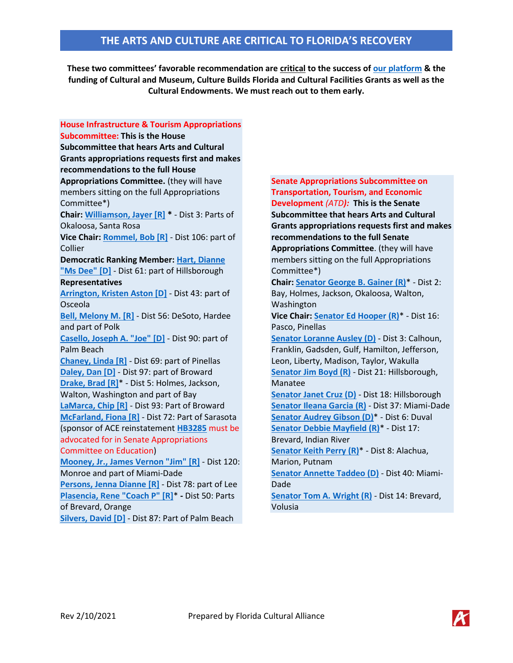**These two committees' favorable recommendation are critical to the success of [our platform](https://flca.net/wp-content/uploads/2021/02/Legislative-Platform-Handbook-2.1-corrections-rev.pdf) & the funding of Cultural and Museum, Culture Builds Florida and Cultural Facilities Grants as well as the Cultural Endowments. We must reach out to them early.**

**House Infrastructure & Tourism Appropriations Subcommittee: This is the House Subcommittee that hears Arts and Cultural Grants appropriations requests first and makes recommendations to the full House Appropriations Committee.** (they will have members sitting on the full Appropriations Committee\*) **Chair: [Williamson, Jayer \[R\]](https://www.myfloridahouse.gov/Sections/Representatives/details.aspx?MemberId=4622) \*** - Dist 3: Parts of Okaloosa, Santa Rosa **Vice Chair: [Rommel, Bob \[R\]](https://www.myfloridahouse.gov/Sections/Representatives/details.aspx?MemberId=4634)** - Dist 106: part of Collier **Democratic Ranking Member: Hart, [Dianne](https://www.myfloridahouse.gov/Sections/Representatives/details.aspx?MemberId=4736)  ["Ms Dee" \[D\]](https://www.myfloridahouse.gov/Sections/Representatives/details.aspx?MemberId=4736)** - Dist 61: part of Hillsborough **Representatives [Arrington, Kristen Aston \[D\]](https://www.myfloridahouse.gov/Sections/Representatives/details.aspx?MemberId=4774)** - Dist 43: part of Osceola **[Bell, Melony M. \[R\]](https://www.myfloridahouse.gov/Sections/Representatives/details.aspx?MemberId=4753)** - Dist 56: DeSoto, Hardee and part of Polk **[Casello, Joseph A. "Joe" \[D\]](https://www.myfloridahouse.gov/Sections/Representatives/details.aspx?MemberId=4750)** - Dist 90: part of Palm Beach **[Chaney, Linda \[R\]](https://www.myfloridahouse.gov/Sections/Representatives/details.aspx?MemberId=4778)** - Dist 69: part of Pinellas **[Daley, Dan \[D\]](https://www.myfloridahouse.gov/Sections/Representatives/details.aspx?MemberId=4757)** - Dist 97: part of Broward **[Drake, Brad \[R\]](https://www.myfloridahouse.gov/Sections/Representatives/details.aspx?MemberId=4436)**\* - Dist 5: Holmes, Jackson, Walton, Washington and part of Bay **[LaMarca, Chip \[R\]](https://www.myfloridahouse.gov/Sections/Representatives/details.aspx?MemberId=4722)** - Dist 93: Part of Broward **[McFarland, Fiona \[R\]](https://www.myfloridahouse.gov/Sections/Representatives/details.aspx?MemberId=4780)** - Dist 72: Part of Sarasota (sponsor of ACE reinstatement **[HB3285](https://www.myfloridahouse.gov/Sections/Bills/billsdetail.aspx?BillId=71517&SessionId=90)** must be advocated for in Senate Appropriations Committee on Education) **[Mooney, Jr., James Vernon "Jim" \[R\]](https://www.myfloridahouse.gov/Sections/Representatives/details.aspx?MemberId=4797)** - Dist 120: Monroe and part of Miami-Dade **[Persons, Jenna Dianne \[R\]](https://www.myfloridahouse.gov/Sections/Representatives/details.aspx?MemberId=4785)** - Dist 78: part of Lee **[Plasencia, Rene "Coach P" \[R\]](https://www.myfloridahouse.gov/Sections/Representatives/details.aspx?MemberId=4607)**\* **-** Dist 50: Parts of Brevard, Orange **[Silvers, David \[D\]](https://www.myfloridahouse.gov/Sections/Representatives/details.aspx?MemberId=4627)** - Dist 87: Part of Palm Beach

**Senate Appropriations Subcommittee on Transportation, Tourism, and Economic Development** *(ATD):* **This is the Senate Subcommittee that hears Arts and Cultural Grants appropriations requests first and makes recommendations to the full Senate Appropriations Committee**. (they will have members sitting on the full Appropriations Committee\*) **Chair: Senator [George B. Gainer](https://www.flsenate.gov/Senators/S2) (R)**\* - Dist 2: Bay, Holmes, Jackson, Okaloosa, Walton, Washington **Vice Chair: Senator [Ed Hooper](https://www.flsenate.gov/Senators/S16) (R)**\* - Dist 16: Pasco, Pinellas **Senator [Loranne Ausley](https://www.flsenate.gov/Senators/S3) (D)** - Dist 3: Calhoun, Franklin, Gadsden, Gulf, Hamilton, Jefferson, Leon, Liberty, Madison, Taylor, Wakulla **Senator [Jim Boyd](https://www.flsenate.gov/Senators/S21) (R)** - Dist 21: Hillsborough, Manatee **Senator [Janet Cruz](https://www.flsenate.gov/Senators/S18) (D)** - Dist 18: Hillsborough **Senator [Ileana Garcia](https://www.flsenate.gov/Senators/S37) (R)** - Dist 37: Miami-Dade **Senator [Audrey Gibson](https://www.flsenate.gov/Senators/S6) (D)**\* - Dist 6: Duval **Senator [Debbie Mayfield](https://www.flsenate.gov/Senators/S17) (R)**\* - Dist 17: Brevard, Indian River **Senator [Keith Perry](https://www.flsenate.gov/Senators/S8) (R)**\* - Dist 8: Alachua, Marion, Putnam **Senator [Annette Taddeo](https://www.flsenate.gov/Senators/S40) (D)** - Dist 40: Miami-Dade **Senator [Tom A. Wright](https://www.flsenate.gov/Senators/S14) (R)** - Dist 14: Brevard, Volusia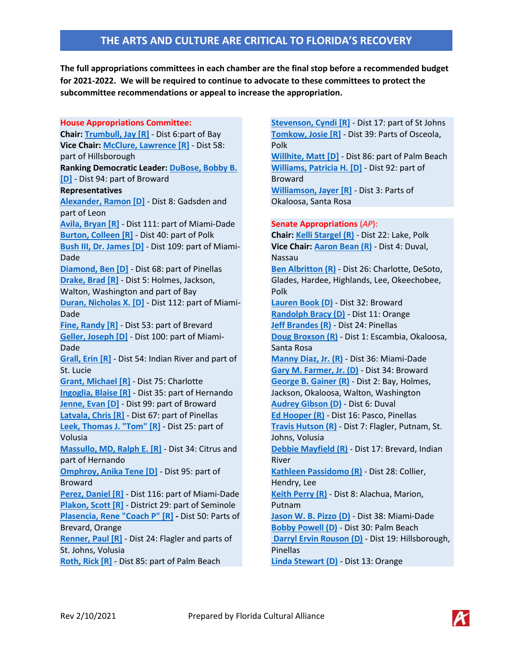## **THE ARTS AND CULTURE ARE CRITICAL TO FLORIDA'S RECOVERY**

**The full appropriations committees in each chamber are the final stop before a recommended budget for 2021-2022. We will be required to continue to advocate to these committees to protect the subcommittee recommendations or appeal to increase the appropriation.**

**House Appropriations Committee: Chair: [Trumbull, Jay \[R\]](https://www.myfloridahouse.gov/Sections/Representatives/details.aspx?MemberId=4600)** - Dist 6:part of Bay **Vice Chair: [McClure, Lawrence \[R\]](https://www.myfloridahouse.gov/Sections/Representatives/details.aspx?MemberId=4686)** - Dist 58: part of Hillsborough **Ranking Democratic Leader: [DuBose, Bobby B.](https://www.myfloridahouse.gov/Sections/Representatives/details.aspx?MemberId=4612)  [\[D\]](https://www.myfloridahouse.gov/Sections/Representatives/details.aspx?MemberId=4612)** - Dist 94: part of Broward **Representatives [Alexander, Ramon \[D\]](https://www.myfloridahouse.gov/Sections/Representatives/details.aspx?MemberId=4640)** - Dist 8: Gadsden and part of Leon **[Avila, Bryan \[R\]](https://www.myfloridahouse.gov/Sections/Representatives/details.aspx?MemberId=4615)** - Dist 111: part of Miami-Dade **[Burton, Colleen \[R\]](https://www.myfloridahouse.gov/Sections/Representatives/details.aspx?MemberId=4616)** - Dist 40: part of Polk **[Bush III, Dr. James \[D\]](https://www.myfloridahouse.gov/Sections/Representatives/details.aspx?MemberId=4011)** - Dist 109: part of Miami-Dade **[Diamond, Ben \[D\]](https://www.myfloridahouse.gov/Sections/Representatives/details.aspx?MemberId=4657)** - Dist 68: part of Pinellas **[Drake, Brad \[R\]](https://www.myfloridahouse.gov/Sections/Representatives/details.aspx?MemberId=4436)** - Dist 5: Holmes, Jackson, Walton, Washington and part of Bay **[Duran, Nicholas X. \[D\]](https://www.myfloridahouse.gov/Sections/Representatives/details.aspx?MemberId=4650)** - Dist 112: part of Miami-Dade **[Fine, Randy \[R\]](https://www.myfloridahouse.gov/Sections/Representatives/details.aspx?MemberId=4646)** - Dist 53: part of Brevard **[Geller, Joseph \[D\]](https://www.myfloridahouse.gov/Sections/Representatives/details.aspx?MemberId=4614)** - Dist 100: part of Miami-Dade **[Grall, Erin \[R\]](https://www.myfloridahouse.gov/Sections/Representatives/details.aspx?MemberId=4637)** - Dist 54: Indian River and part of St. Lucie **[Grant, Michael \[R\]](https://www.myfloridahouse.gov/Sections/Representatives/details.aspx?MemberId=4349)** - Dist 75: Charlotte **[Ingoglia, Blaise \[R\]](https://www.myfloridahouse.gov/Sections/Representatives/details.aspx?MemberId=4603)** - Dist 35: part of Hernando **[Jenne, Evan \[D\]](https://www.myfloridahouse.gov/Sections/Representatives/details.aspx?MemberId=4365)** - Dist 99: part of Broward **[Latvala, Chris \[R\]](https://www.myfloridahouse.gov/Sections/Representatives/details.aspx?MemberId=4610)** - Dist 67: part of Pinellas **[Leek, Thomas J. "Tom" \[R\]](https://www.myfloridahouse.gov/Sections/Representatives/details.aspx?MemberId=4662)** - Dist 25: part of Volusia **[Massullo, MD, Ralph E. \[R\]](https://www.myfloridahouse.gov/Sections/Representatives/details.aspx?MemberId=4624)** - Dist 34: Citrus and part of Hernando **[Omphroy, Anika Tene \[D\]](https://www.myfloridahouse.gov/Sections/Representatives/details.aspx?MemberId=4749)** - Dist 95: part of Broward **[Perez, Daniel \[R\]](https://www.myfloridahouse.gov/Sections/Representatives/details.aspx?MemberId=4690)** - Dist 116: part of Miami-Dade **[Plakon, Scott \[R\]](https://www.myfloridahouse.gov/Sections/Representatives/details.aspx?MemberId=4430)** - District 29: part of Seminole **[Plasencia, Rene "Coach P" \[R\]](https://www.myfloridahouse.gov/Sections/Representatives/details.aspx?MemberId=4607) -** Dist 50: Parts of Brevard, Orange **[Renner, Paul \[R\]](https://www.myfloridahouse.gov/Sections/Representatives/details.aspx?MemberId=4619)** - Dist 24: Flagler and parts of St. Johns, Volusia **[Roth, Rick \[R\]](https://www.myfloridahouse.gov/Sections/Representatives/details.aspx?MemberId=4648)** - Dist 85: part of Palm Beach

**[Stevenson, Cyndi \[R\]](https://www.myfloridahouse.gov/Sections/Representatives/details.aspx?MemberId=4620)** - Dist 17: part of St Johns **[Tomkow, Josie \[R\]](https://www.myfloridahouse.gov/Sections/Representatives/details.aspx?MemberId=4704)** - Dist 39: Parts of Osceola, Polk **[Willhite, Matt \[D\]](https://www.myfloridahouse.gov/Sections/Representatives/details.aspx?MemberId=4649)** - Dist 86: part of Palm Beach **[Williams, Patricia H. \[D\]](https://www.myfloridahouse.gov/Sections/Representatives/details.aspx?MemberId=4629)** - Dist 92: part of Broward **[Williamson, Jayer \[R\]](https://www.myfloridahouse.gov/Sections/Representatives/details.aspx?MemberId=4622)** - Dist 3: Parts of Okaloosa, Santa Rosa

## **Senate Appropriations** (*AP*): **Chair: [Kelli Stargel](https://www.flsenate.gov/Senators/S22) (R)** - Dist 22: Lake, Polk **Vice Chair: [Aaron Bean](https://www.flsenate.gov/Senators/S4) (R)** - Dist 4: Duval, Nassau **[Ben Albritton](https://www.flsenate.gov/Senators/S26) (R)** - Dist 26: Charlotte, DeSoto, Glades, Hardee, Highlands, Lee, Okeechobee, Polk **[Lauren Book](https://www.flsenate.gov/Senators/S32) (D)** - Dist 32: Broward **[Randolph Bracy](https://www.flsenate.gov/Senators/S11) (D)** - Dist 11: Orange **[Jeff Brandes](https://www.flsenate.gov/Senators/S24) (R)** - Dist 24: Pinellas **[Doug Broxson](https://www.flsenate.gov/Senators/S1) (R)** - Dist 1: Escambia, Okaloosa, Santa Rosa **[Manny Diaz, Jr.](https://www.flsenate.gov/Senators/S36) (R)** - Dist 36: Miami-Dade **[Gary M. Farmer, Jr.](https://www.flsenate.gov/Senators/S34) (D)** - Dist 34: Broward **[George B. Gainer](https://www.flsenate.gov/Senators/S2) (R)** - Dist 2: Bay, Holmes, Jackson, Okaloosa, Walton, Washington **[Audrey Gibson](https://www.flsenate.gov/Senators/S6) (D)** - Dist 6: Duval **[Ed Hooper](https://www.flsenate.gov/Senators/S16) (R)** - Dist 16: Pasco, Pinellas **[Travis Hutson](https://www.flsenate.gov/Senators/S7) (R)** - Dist 7: Flagler, Putnam, St. Johns, Volusia **[Debbie Mayfield](https://www.flsenate.gov/Senators/S17) (R)** - Dist 17: Brevard, Indian River **[Kathleen Passidomo](https://www.flsenate.gov/Senators/S28) (R)** - Dist 28: Collier, Hendry, Lee **[Keith Perry](https://www.flsenate.gov/Senators/S8) (R)** - Dist 8: Alachua, Marion, Putnam **[Jason W. B. Pizzo](https://www.flsenate.gov/Senators/S38) (D)** - Dist 38: Miami-Dade **[Bobby Powell](https://www.flsenate.gov/Senators/S30) (D)** - Dist 30: Palm Beach **[Darryl Ervin Rouson](https://www.flsenate.gov/Senators/S19) (D)** - Dist 19: Hillsborough, Pinellas **[Linda Stewart](https://www.flsenate.gov/Senators/S13) (D)** - Dist 13: Orange